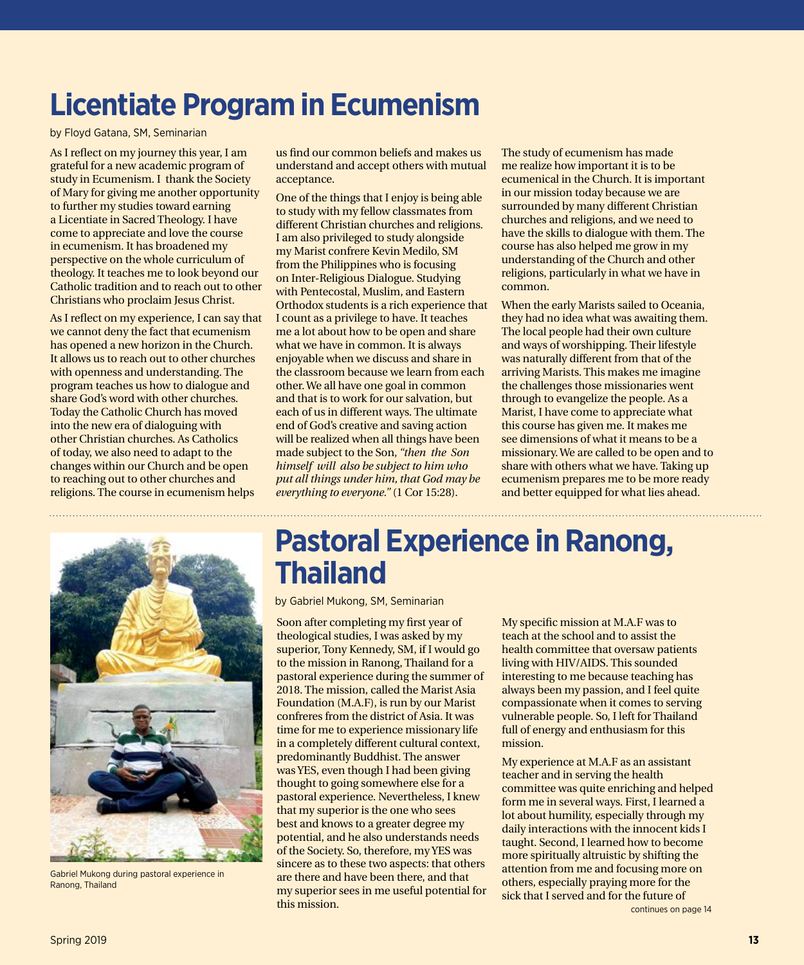### **Licentiate Program in Ecumenism**

by Floyd Gatana, SM, Seminarian

As I reflect on my journey this year, I am grateful for a new academic program of study in Ecumenism. I thank the Society of Mary for giving me another opportunity to further my studies toward earning a Licentiate in Sacred Theology. I have come to appreciate and love the course in ecumenism. It has broadened my perspective on the whole curriculum of theology. It teaches me to look beyond our Catholic tradition and to reach out to other Christians who proclaim Jesus Christ.

As I reflect on my experience, I can say that we cannot deny the fact that ecumenism has opened a new horizon in the Church. It allows us to reach out to other churches with openness and understanding. The program teaches us how to dialogue and share God's word with other churches. Today the Catholic Church has moved into the new era of dialoguing with other Christian churches. As Catholics of today, we also need to adapt to the changes within our Church and be open to reaching out to other churches and religions. The course in ecumenism helps

us find our common beliefs and makes us understand and accept others with mutual acceptance.

One of the things that I enjoy is being able to study with my fellow classmates from different Christian churches and religions. I am also privileged to study alongside my Marist confrere Kevin Medilo, SM from the Philippines who is focusing on Inter-Religious Dialogue. Studying with Pentecostal, Muslim, and Eastern Orthodox students is a rich experience that I count as a privilege to have. It teaches me a lot about how to be open and share what we have in common. It is always enjoyable when we discuss and share in the classroom because we learn from each other. We all have one goal in common and that is to work for our salvation, but each of us in different ways. The ultimate end of God's creative and saving action will be realized when all things have been made subject to the Son, *"then the Son himself will also be subject to him who put all things under him, that God may be everything to everyone."* (1 Cor 15:28).

The study of ecumenism has made me realize how important it is to be ecumenical in the Church. It is important in our mission today because we are surrounded by many different Christian churches and religions, and we need to have the skills to dialogue with them. The course has also helped me grow in my understanding of the Church and other religions, particularly in what we have in common.

When the early Marists sailed to Oceania, they had no idea what was awaiting them. The local people had their own culture and ways of worshipping. Their lifestyle was naturally different from that of the arriving Marists. This makes me imagine the challenges those missionaries went through to evangelize the people. As a Marist, I have come to appreciate what this course has given me. It makes me see dimensions of what it means to be a missionary. We are called to be open and to share with others what we have. Taking up ecumenism prepares me to be more ready and better equipped for what lies ahead.



Gabriel Mukong during pastoral experience in Ranong, Thailand

### **Pastoral Experience in Ranong, Thailand**

by Gabriel Mukong, SM, Seminarian

Soon after completing my first year of theological studies, I was asked by my superior, Tony Kennedy, SM, if I would go to the mission in Ranong, Thailand for a pastoral experience during the summer of 2018. The mission, called the Marist Asia Foundation (M.A.F), is run by our Marist confreres from the district of Asia. It was time for me to experience missionary life in a completely different cultural context, predominantly Buddhist. The answer was YES, even though I had been giving thought to going somewhere else for a pastoral experience. Nevertheless, I knew that my superior is the one who sees best and knows to a greater degree my potential, and he also understands needs of the Society. So, therefore, my YES was sincere as to these two aspects: that others are there and have been there, and that my superior sees in me useful potential for this mission.

My specific mission at M.A.F was to teach at the school and to assist the health committee that oversaw patients living with HIV/AIDS. This sounded interesting to me because teaching has always been my passion, and I feel quite compassionate when it comes to serving vulnerable people. So, I left for Thailand full of energy and enthusiasm for this mission.

My experience at M.A.F as an assistant teacher and in serving the health committee was quite enriching and helped form me in several ways. First, I learned a lot about humility, especially through my daily interactions with the innocent kids I taught. Second, I learned how to become more spiritually altruistic by shifting the attention from me and focusing more on others, especially praying more for the sick that I served and for the future of continues on page 14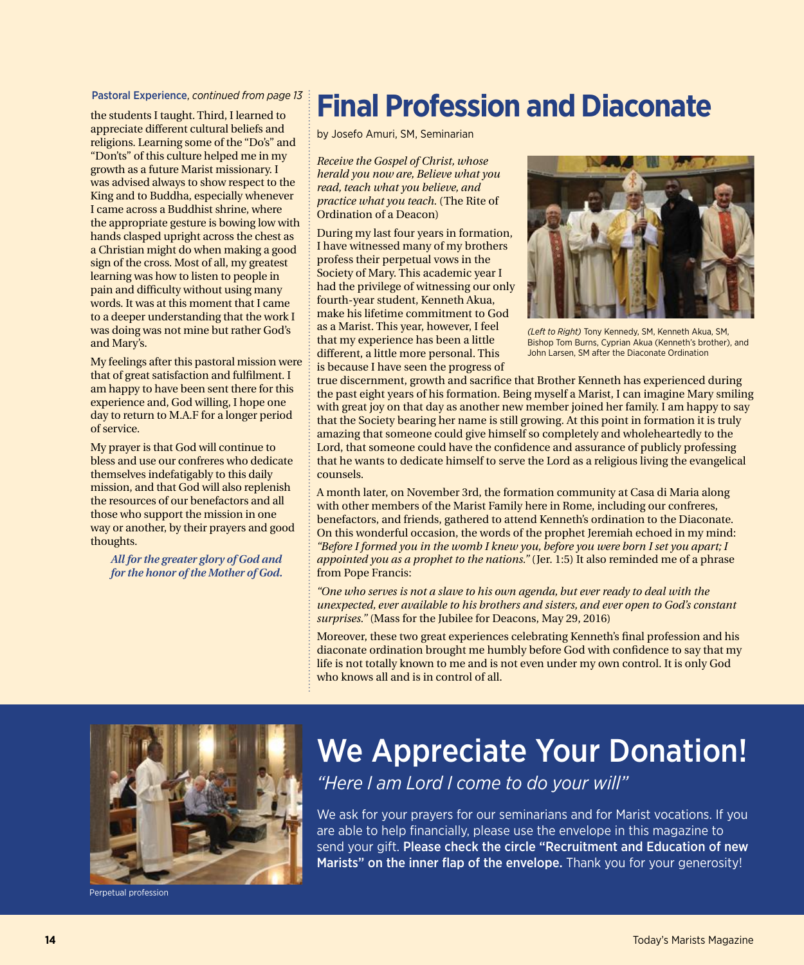the students I taught. Third, I learned to appreciate different cultural beliefs and religions. Learning some of the "Do's" and "Don'ts" of this culture helped me in my growth as a future Marist missionary. I was advised always to show respect to the King and to Buddha, especially whenever I came across a Buddhist shrine, where the appropriate gesture is bowing low with hands clasped upright across the chest as a Christian might do when making a good sign of the cross. Most of all, my greatest learning was how to listen to people in pain and difficulty without using many words. It was at this moment that I came to a deeper understanding that the work I was doing was not mine but rather God's and Mary's.

My feelings after this pastoral mission were that of great satisfaction and fulfilment. I am happy to have been sent there for this experience and, God willing, I hope one day to return to M.A.F for a longer period of service.

My prayer is that God will continue to bless and use our confreres who dedicate themselves indefatigably to this daily mission, and that God will also replenish the resources of our benefactors and all those who support the mission in one way or another, by their prayers and good thoughts.

*All for the greater glory of God and for the honor of the Mother of God.*

### Pastoral Experience, *continued from page 13* **Final Profession and Diaconate**

by Josefo Amuri, SM, Seminarian

*Receive the Gospel of Christ, whose herald you now are, Believe what you read, teach what you believe, and practice what you teach.* (The Rite of Ordination of a Deacon)

During my last four years in formation, I have witnessed many of my brothers profess their perpetual vows in the Society of Mary. This academic year I had the privilege of witnessing our only fourth-year student, Kenneth Akua, make his lifetime commitment to God as a Marist. This year, however, I feel that my experience has been a little different, a little more personal. This is because I have seen the progress of



*(Left to Right)* Tony Kennedy, SM, Kenneth Akua, SM, Bishop Tom Burns, Cyprian Akua (Kenneth's brother), and John Larsen, SM after the Diaconate Ordination

true discernment, growth and sacrifice that Brother Kenneth has experienced during the past eight years of his formation. Being myself a Marist, I can imagine Mary smiling with great joy on that day as another new member joined her family. I am happy to say that the Society bearing her name is still growing. At this point in formation it is truly amazing that someone could give himself so completely and wholeheartedly to the Lord, that someone could have the confidence and assurance of publicly professing that he wants to dedicate himself to serve the Lord as a religious living the evangelical counsels.

A month later, on November 3rd, the formation community at Casa di Maria along with other members of the Marist Family here in Rome, including our confreres, benefactors, and friends, gathered to attend Kenneth's ordination to the Diaconate. On this wonderful occasion, the words of the prophet Jeremiah echoed in my mind: *"Before I formed you in the womb I knew you, before you were born I set you apart; I appointed you as a prophet to the nations."* (Jer. 1:5) It also reminded me of a phrase from Pope Francis:

*"One who serves is not a slave to his own agenda, but ever ready to deal with the unexpected, ever available to his brothers and sisters, and ever open to God's constant surprises."* (Mass for the Jubilee for Deacons, May 29, 2016)

Moreover, these two great experiences celebrating Kenneth's final profession and his diaconate ordination brought me humbly before God with confidence to say that my life is not totally known to me and is not even under my own control. It is only God who knows all and is in control of all.



Perpetual profession

### We Appreciate Your Donation! *"Here I am Lord I come to do your will"*

We ask for your prayers for our seminarians and for Marist vocations. If you are able to help financially, please use the envelope in this magazine to send your gift. Please check the circle "Recruitment and Education of new Marists" on the inner flap of the envelope. Thank you for your generosity!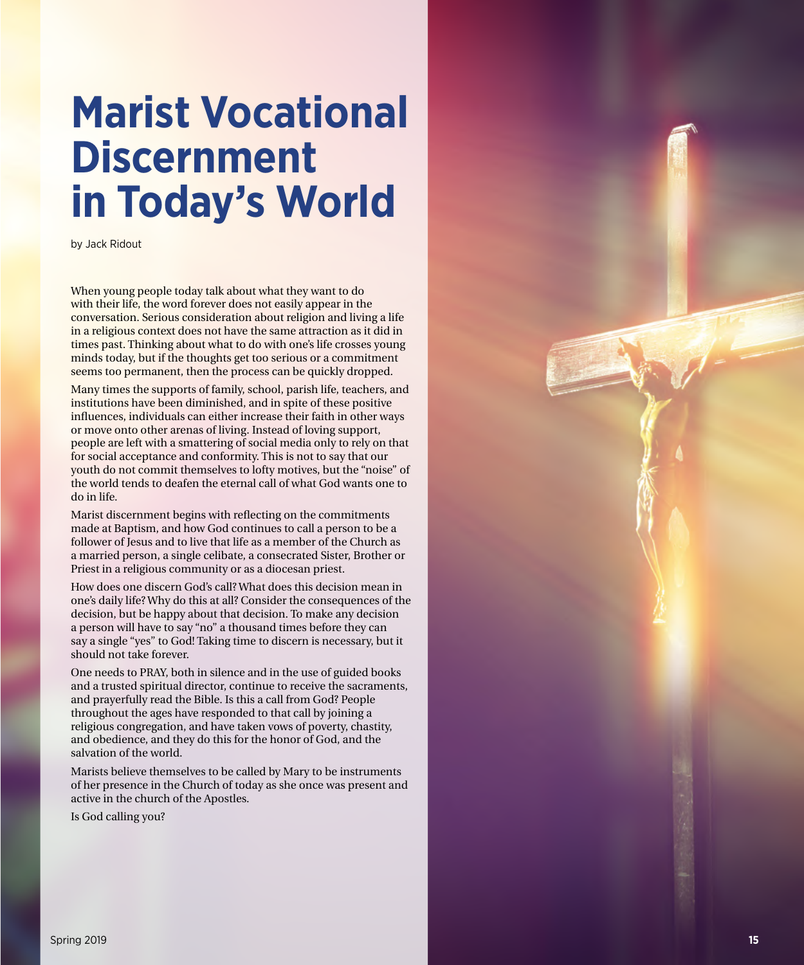# **Marist Vocational Discernment in Today's World**

by Jack Ridout

When young people today talk about what they want to do with their life, the word forever does not easily appear in the conversation. Serious consideration about religion and living a life in a religious context does not have the same attraction as it did in times past. Thinking about what to do with one's life crosses young minds today, but if the thoughts get too serious or a commitment seems too permanent, then the process can be quickly dropped.

Many times the supports of family, school, parish life, teachers, and institutions have been diminished, and in spite of these positive influences, individuals can either increase their faith in other ways or move onto other arenas of living. Instead of loving support, people are left with a smattering of social media only to rely on that for social acceptance and conformity. This is not to say that our youth do not commit themselves to lofty motives, but the "noise" of the world tends to deafen the eternal call of what God wants one to do in life.

Marist discernment begins with reflecting on the commitments made at Baptism, and how God continues to call a person to be a follower of Jesus and to live that life as a member of the Church as a married person, a single celibate, a consecrated Sister, Brother or Priest in a religious community or as a diocesan priest.

How does one discern God's call? What does this decision mean in one's daily life? Why do this at all? Consider the consequences of the decision, but be happy about that decision. To make any decision a person will have to say "no" a thousand times before they can say a single "yes" to God! Taking time to discern is necessary, but it should not take forever.

One needs to PRAY, both in silence and in the use of guided books and a trusted spiritual director, continue to receive the sacraments, and prayerfully read the Bible. Is this a call from God? People throughout the ages have responded to that call by joining a religious congregation, and have taken vows of poverty, chastity, and obedience, and they do this for the honor of God, and the salvation of the world.

Marists believe themselves to be called by Mary to be instruments of her presence in the Church of today as she once was present and active in the church of the Apostles.

Is God calling you?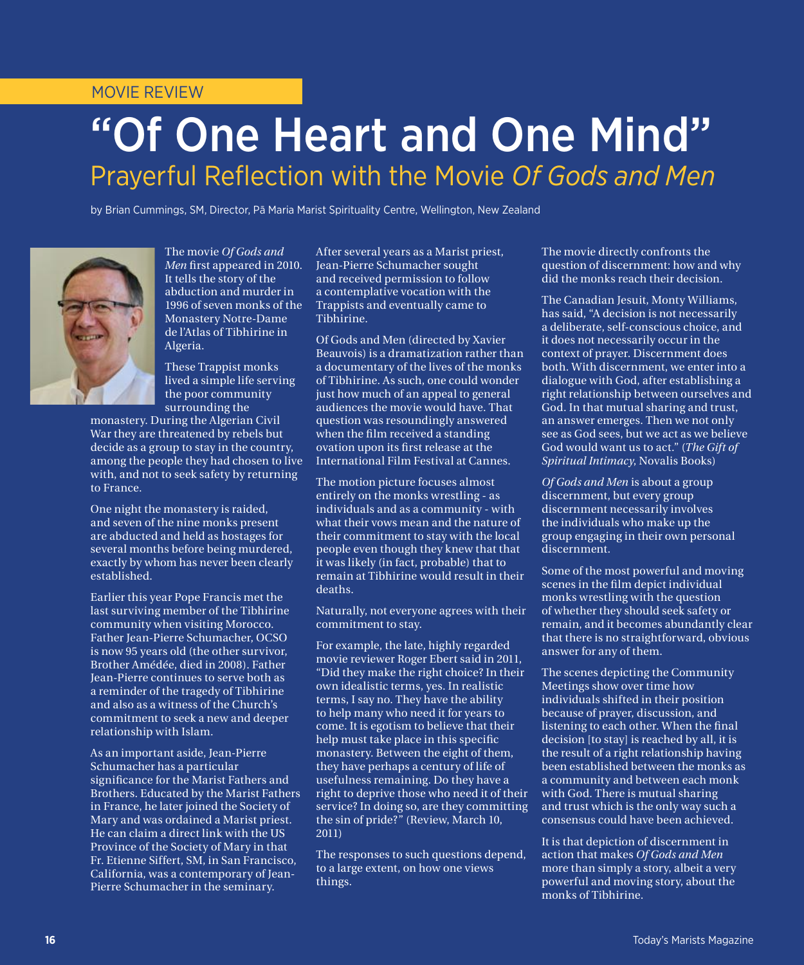#### MOVIE REVIEW

## "Of One Heart and One Mind" Prayerful Reflection with the Movie *Of Gods and Men*

by Brian Cummings, SM, Director, Pā Maria Marist Spirituality Centre, Wellington, New Zealand



The movie *Of Gods and Men* first appeared in 2010. It tells the story of the abduction and murder in 1996 of seven monks of the Monastery Notre-Dame de l'Atlas of Tibhirine in Algeria.

These Trappist monks lived a simple life serving the poor community surrounding the

monastery. During the Algerian Civil War they are threatened by rebels but decide as a group to stay in the country, among the people they had chosen to live with, and not to seek safety by returning to France.

One night the monastery is raided, and seven of the nine monks present are abducted and held as hostages for several months before being murdered, exactly by whom has never been clearly established.

Earlier this year Pope Francis met the last surviving member of the Tibhirine community when visiting Morocco. Father Jean-Pierre Schumacher, OCSO is now 95 years old (the other survivor, Brother Amédée, died in 2008). Father Jean-Pierre continues to serve both as a reminder of the tragedy of Tibhirine and also as a witness of the Church's commitment to seek a new and deeper relationship with Islam.

As an important aside, Jean-Pierre Schumacher has a particular significance for the Marist Fathers and Brothers. Educated by the Marist Fathers in France, he later joined the Society of Mary and was ordained a Marist priest. He can claim a direct link with the US Province of the Society of Mary in that Fr. Etienne Siffert, SM, in San Francisco, California, was a contemporary of Jean-Pierre Schumacher in the seminary.

After several years as a Marist priest, Jean-Pierre Schumacher sought and received permission to follow a contemplative vocation with the Trappists and eventually came to Tibhirine.

Of Gods and Men (directed by Xavier Beauvois) is a dramatization rather than a documentary of the lives of the monks of Tibhirine. As such, one could wonder just how much of an appeal to general audiences the movie would have. That question was resoundingly answered when the film received a standing ovation upon its first release at the International Film Festival at Cannes.

The motion picture focuses almost entirely on the monks wrestling - as individuals and as a community - with what their vows mean and the nature of their commitment to stay with the local people even though they knew that that it was likely (in fact, probable) that to remain at Tibhirine would result in their deaths.

Naturally, not everyone agrees with their commitment to stay.

For example, the late, highly regarded movie reviewer Roger Ebert said in 2011, "Did they make the right choice? In their own idealistic terms, yes. In realistic terms, I say no. They have the ability to help many who need it for years to come. It is egotism to believe that their help must take place in this specific monastery. Between the eight of them, they have perhaps a century of life of usefulness remaining. Do they have a right to deprive those who need it of their service? In doing so, are they committing the sin of pride?" (Review, March 10, 2011)

The responses to such questions depend, to a large extent, on how one views things.

The movie directly confronts the question of discernment: how and why did the monks reach their decision.

The Canadian Jesuit, Monty Williams, has said, "A decision is not necessarily a deliberate, self-conscious choice, and it does not necessarily occur in the context of prayer. Discernment does both. With discernment, we enter into a dialogue with God, after establishing a right relationship between ourselves and God. In that mutual sharing and trust, an answer emerges. Then we not only see as God sees, but we act as we believe God would want us to act." (*The Gift of Spiritual Intimacy*, Novalis Books)

*Of Gods and Men* is about a group discernment, but every group discernment necessarily involves the individuals who make up the group engaging in their own personal discernment.

Some of the most powerful and moving scenes in the film depict individual monks wrestling with the question of whether they should seek safety or remain, and it becomes abundantly clear that there is no straightforward, obvious answer for any of them.

The scenes depicting the Community Meetings show over time how individuals shifted in their position because of prayer, discussion, and listening to each other. When the final decision [to stay] is reached by all, it is the result of a right relationship having been established between the monks as a community and between each monk with God. There is mutual sharing and trust which is the only way such a consensus could have been achieved.

It is that depiction of discernment in action that makes *Of Gods and Men* more than simply a story, albeit a very powerful and moving story, about the monks of Tibhirine.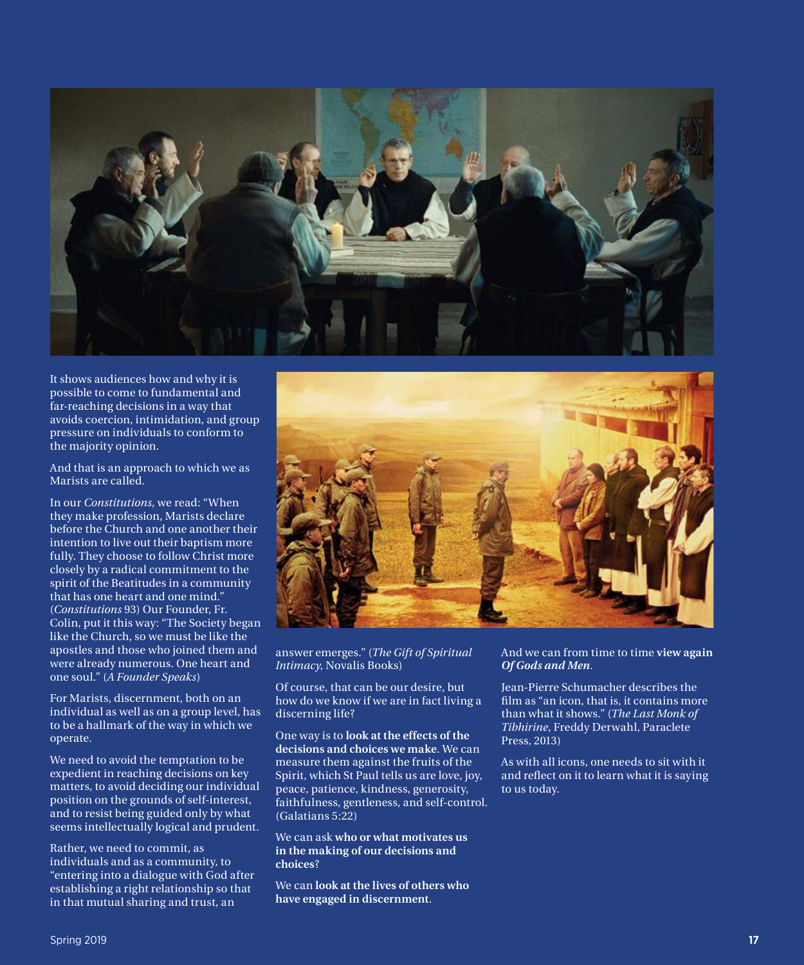

It shows audiences how and why it is possible to come to fundamental and far-reaching decisions in a way that avoids coercion, intimidation, and group pressure on individuals to conform to the majority opinion.

And that is an approach to which we as Marists are called.

In our *Constitutions*, we read: "When they make profession, Marists declare before the Church and one another their intention to live out their baptism more fully. They choose to follow Christ more closely by a radical commitment to the spirit of the Beatitudes in a community that has one heart and one mind." (*Constitutions* 93) Our Founder, Fr. Colin, put it this way: "The Society began like the Church, so we must be like the apostles and those who joined them and were already numerous. One heart and one soul." (*A Founder Speaks*)

For Marists, discernment, both on an individual as well as on a group level, has to be a hallmark of the way in which we operate.

We need to avoid the temptation to be expedient in reaching decisions on key matters, to avoid deciding our individual position on the grounds of self-interest, and to resist being guided only by what seems intellectually logical and prudent.

Rather, we need to commit, as individuals and as a community, to "entering into a dialogue with God after establishing a right relationship so that in that mutual sharing and trust, an



answer emerges." (*The Gift of Spiritual Intimacy*, Novalis Books)

Of course, that can be our desire, but how do we know if we are in fact living a discerning life?

One way is to **look at the effects of the decisions and choices we make**. We can measure them against the fruits of the Spirit, which St Paul tells us are love, joy, peace, patience, kindness, generosity, faithfulness, gentleness, and self-control. (Galatians 5:22)

We can ask **who or what motivates us in the making of our decisions and choices**?

We can **look at the lives of others who have engaged in discernment**.

#### And we can from time to time **view again**  *Of Gods and Men*.

Jean-Pierre Schumacher describes the film as "an icon, that is, it contains more than what it shows." (*The Last Monk of Tibhirine*, Freddy Derwahl, Paraclete Press, 2013)

As with all icons, one needs to sit with it and reflect on it to learn what it is saying to us today.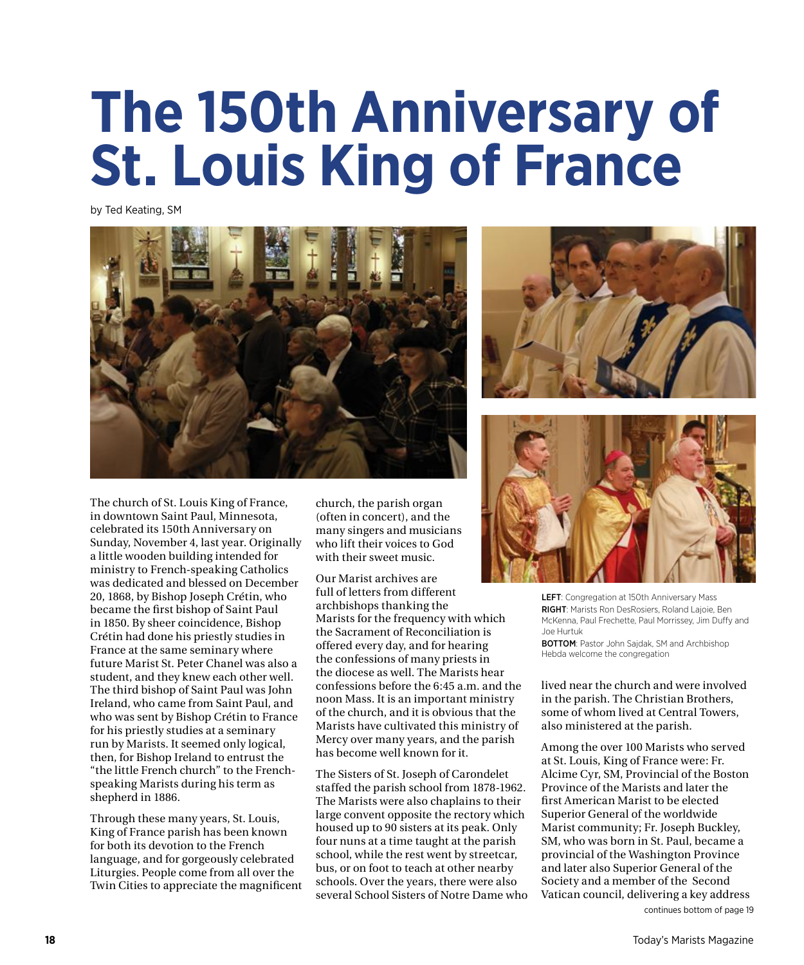# **The 150th Anniversary of St. Louis King of France**

by Ted Keating, SM







Through these many years, St. Louis, King of France parish has been known for both its devotion to the French language, and for gorgeously celebrated Liturgies. People come from all over the Twin Cities to appreciate the magnificent church, the parish organ (often in concert), and the many singers and musicians who lift their voices to God with their sweet music.

Our Marist archives are full of letters from different archbishops thanking the Marists for the frequency with which the Sacrament of Reconciliation is offered every day, and for hearing the confessions of many priests in the diocese as well. The Marists hear confessions before the 6:45 a.m. and the noon Mass. It is an important ministry of the church, and it is obvious that the Marists have cultivated this ministry of Mercy over many years, and the parish has become well known for it.

The Sisters of St. Joseph of Carondelet staffed the parish school from 1878-1962. The Marists were also chaplains to their large convent opposite the rectory which housed up to 90 sisters at its peak. Only four nuns at a time taught at the parish school, while the rest went by streetcar, bus, or on foot to teach at other nearby schools. Over the years, there were also several School Sisters of Notre Dame who



LEFT: Congregation at 150th Anniversary Mass RIGHT: Marists Ron DesRosiers, Roland Lajoie, Ben McKenna, Paul Frechette, Paul Morrissey, Jim Duffy and Joe Hurtuk

BOTTOM: Pastor John Sajdak, SM and Archbishop Hebda welcome the congregation

lived near the church and were involved in the parish. The Christian Brothers, some of whom lived at Central Towers, also ministered at the parish.

Among the over 100 Marists who served at St. Louis, King of France were: Fr. Alcime Cyr, SM, Provincial of the Boston Province of the Marists and later the first American Marist to be elected Superior General of the worldwide Marist community; Fr. Joseph Buckley, SM, who was born in St. Paul, became a provincial of the Washington Province and later also Superior General of the Society and a member of the Second Vatican council, delivering a key address continues bottom of page 19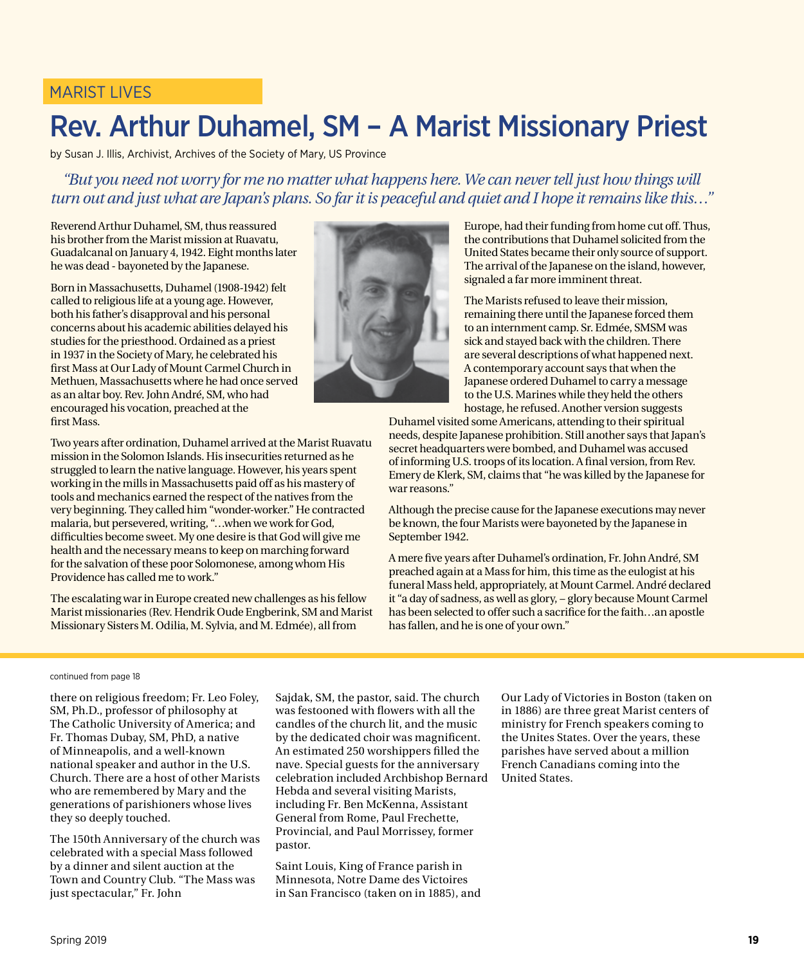### MARIST LIVES

### Rev. Arthur Duhamel, SM – A Marist Missionary Priest

by Susan J. Illis, Archivist, Archives of the Society of Mary, US Province

*"But you need not worry for me no matter what happens here. We can never tell just how things will turn out and just what are Japan's plans. So far it is peaceful and quiet and I hope it remains like this…"*

Reverend Arthur Duhamel, SM, thus reassured his brother from the Marist mission at Ruavatu, Guadalcanal on January 4, 1942. Eight months later he was dead - bayoneted by the Japanese.

Born in Massachusetts, Duhamel (1908-1942) felt called to religious life at a young age. However, both his father's disapproval and his personal concerns about his academic abilities delayed his studies for the priesthood. Ordained as a priest in 1937 in the Society of Mary, he celebrated his first Mass at Our Lady of Mount Carmel Church in Methuen, Massachusetts where he had once served as an altar boy. Rev. John André, SM, who had encouraged his vocation, preached at the first Mass.

Two years after ordination, Duhamel arrived at the Marist Ruavatu mission in the Solomon Islands. His insecurities returned as he struggled to learn the native language. However, his years spent working in the mills in Massachusetts paid off as his mastery of tools and mechanics earned the respect of the natives from the very beginning. They called him "wonder-worker." He contracted malaria, but persevered, writing, "…when we work for God, difficulties become sweet. My one desire is that God will give me health and the necessary means to keep on marching forward for the salvation of these poor Solomonese, among whom His Providence has called me to work."

The escalating war in Europe created new challenges as his fellow Marist missionaries (Rev. Hendrik Oude Engberink, SM and Marist Missionary Sisters M. Odilia, M. Sylvia, and M. Edmée), all from



Europe, had their funding from home cut off. Thus, the contributions that Duhamel solicited from the United States became their only source of support. The arrival of the Japanese on the island, however, signaled a far more imminent threat.

The Marists refused to leave their mission, remaining there until the Japanese forced them to an internment camp. Sr. Edmée, SMSM was sick and stayed back with the children. There are several descriptions of what happened next. A contemporary account says that when the Japanese ordered Duhamel to carry a message to the U.S. Marines while they held the others hostage, he refused. Another version suggests

Duhamel visited some Americans, attending to their spiritual needs, despite Japanese prohibition. Still another says that Japan's secret headquarters were bombed, and Duhamel was accused of informing U.S. troops of its location. A final version, from Rev. Emery de Klerk, SM, claims that "he was killed by the Japanese for war reasons."

Although the precise cause for the Japanese executions may never be known, the four Marists were bayoneted by the Japanese in September 1942.

A mere five years after Duhamel's ordination, Fr. John André, SM preached again at a Mass for him, this time as the eulogist at his funeral Mass held, appropriately, at Mount Carmel. André declared it "a day of sadness, as well as glory, − glory because Mount Carmel has been selected to offer such a sacrifice for the faith…an apostle has fallen, and he is one of your own."

#### continued from page 18

there on religious freedom; Fr. Leo Foley, SM, Ph.D., professor of philosophy at The Catholic University of America; and Fr. Thomas Dubay, SM, PhD, a native of Minneapolis, and a well-known national speaker and author in the U.S. Church. There are a host of other Marists who are remembered by Mary and the generations of parishioners whose lives they so deeply touched.

The 150th Anniversary of the church was celebrated with a special Mass followed by a dinner and silent auction at the Town and Country Club. "The Mass was just spectacular," Fr. John

Sajdak, SM, the pastor, said. The church was festooned with flowers with all the candles of the church lit, and the music by the dedicated choir was magnificent. An estimated 250 worshippers filled the nave. Special guests for the anniversary celebration included Archbishop Bernard Hebda and several visiting Marists, including Fr. Ben McKenna, Assistant General from Rome, Paul Frechette, Provincial, and Paul Morrissey, former pastor.

Saint Louis, King of France parish in Minnesota, Notre Dame des Victoires in San Francisco (taken on in 1885), and

Our Lady of Victories in Boston (taken on in 1886) are three great Marist centers of ministry for French speakers coming to the Unites States. Over the years, these parishes have served about a million French Canadians coming into the United States.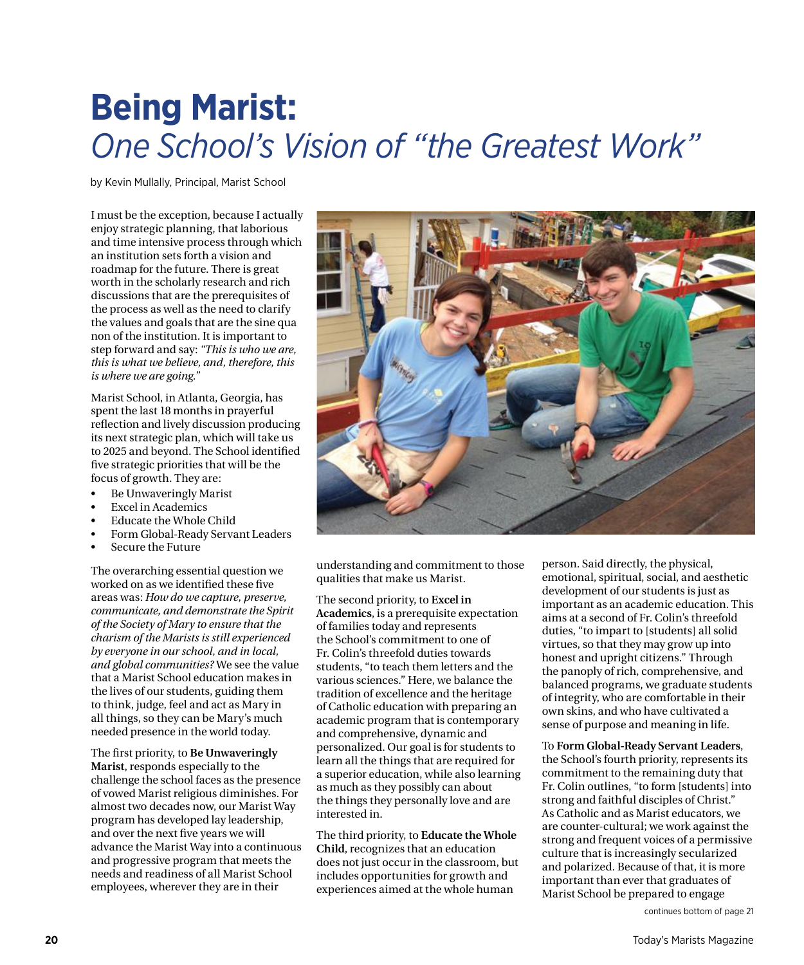### **Being Marist:** *One School's Vision of "the Greatest Work"*

by Kevin Mullally, Principal, Marist School

I must be the exception, because I actually enjoy strategic planning, that laborious and time intensive process through which an institution sets forth a vision and roadmap for the future. There is great worth in the scholarly research and rich discussions that are the prerequisites of the process as well as the need to clarify the values and goals that are the sine qua non of the institution. It is important to step forward and say: *"This is who we are, this is what we believe, and, therefore, this is where we are going."*

Marist School, in Atlanta, Georgia, has spent the last 18 months in prayerful reflection and lively discussion producing its next strategic plan, which will take us to 2025 and beyond. The School identified five strategic priorities that will be the focus of growth. They are:

- Be Unwaveringly Marist
- Excel in Academics
- Educate the Whole Child
- Form Global-Ready Servant Leaders
- Secure the Future

The overarching essential question we worked on as we identified these five areas was: *How do we capture, preserve, communicate, and demonstrate the Spirit of the Society of Mary to ensure that the charism of the Marists is still experienced by everyone in our school, and in local, and global communities?* We see the value that a Marist School education makes in the lives of our students, guiding them to think, judge, feel and act as Mary in all things, so they can be Mary's much needed presence in the world today.

The first priority, to **Be Unwaveringly Marist**, responds especially to the challenge the school faces as the presence of vowed Marist religious diminishes. For almost two decades now, our Marist Way program has developed lay leadership, and over the next five years we will advance the Marist Way into a continuous and progressive program that meets the needs and readiness of all Marist School employees, wherever they are in their



understanding and commitment to those qualities that make us Marist.

The second priority, to **Excel in Academics**, is a prerequisite expectation of families today and represents the School's commitment to one of Fr. Colin's threefold duties towards students, "to teach them letters and the various sciences." Here, we balance the tradition of excellence and the heritage of Catholic education with preparing an academic program that is contemporary and comprehensive, dynamic and personalized. Our goal is for students to learn all the things that are required for a superior education, while also learning as much as they possibly can about the things they personally love and are interested in.

The third priority, to **Educate the Whole Child**, recognizes that an education does not just occur in the classroom, but includes opportunities for growth and experiences aimed at the whole human

person. Said directly, the physical, emotional, spiritual, social, and aesthetic development of our students is just as important as an academic education. This aims at a second of Fr. Colin's threefold duties, "to impart to [students] all solid virtues, so that they may grow up into honest and upright citizens." Through the panoply of rich, comprehensive, and balanced programs, we graduate students of integrity, who are comfortable in their own skins, and who have cultivated a sense of purpose and meaning in life.

### To **Form Global-Ready Servant Leaders**,

the School's fourth priority, represents its commitment to the remaining duty that Fr. Colin outlines, "to form [students] into strong and faithful disciples of Christ." As Catholic and as Marist educators, we are counter-cultural; we work against the strong and frequent voices of a permissive culture that is increasingly secularized and polarized. Because of that, it is more important than ever that graduates of Marist School be prepared to engage

continues bottom of page 21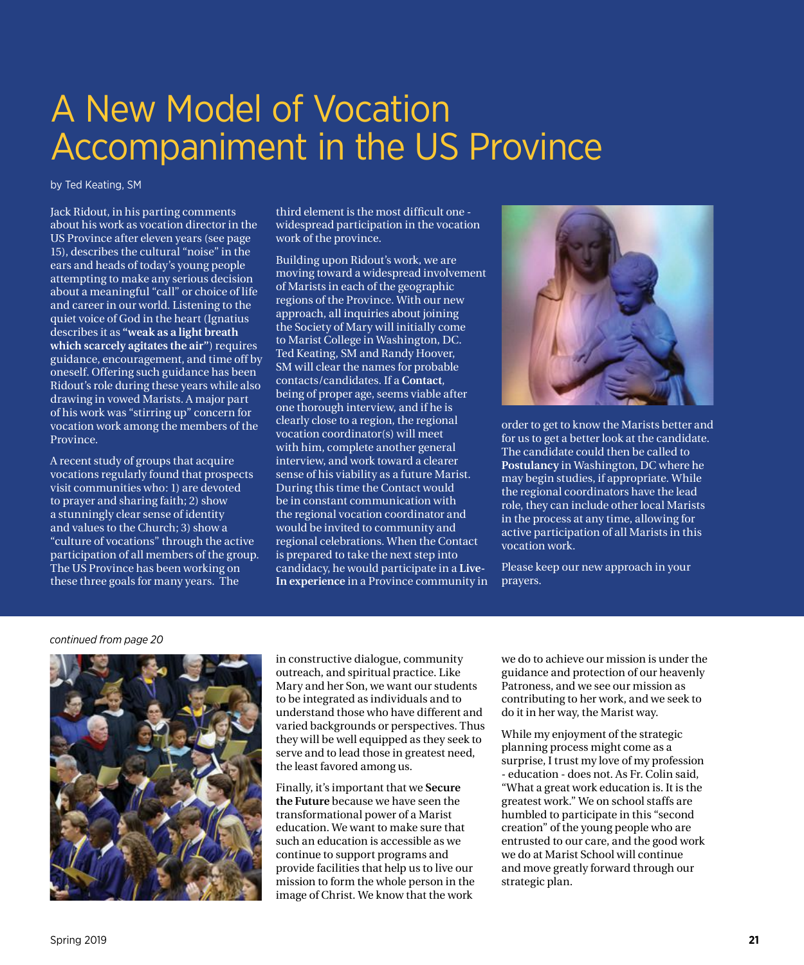### A New Model of Vocation Accompaniment in the US Province

by Ted Keating, SM

Jack Ridout, in his parting comments about his work as vocation director in the US Province after eleven years (see page 15), describes the cultural "noise" in the ears and heads of today's young people attempting to make any serious decision about a meaningful "call" or choice of life and career in our world. Listening to the quiet voice of God in the heart (Ignatius describes it as **"weak as a light breath which scarcely agitates the air"**) requires guidance, encouragement, and time off by oneself. Offering such guidance has been Ridout's role during these years while also drawing in vowed Marists. A major part of his work was "stirring up" concern for vocation work among the members of the Province.

A recent study of groups that acquire vocations regularly found that prospects visit communities who: 1) are devoted to prayer and sharing faith; 2) show a stunningly clear sense of identity and values to the Church; 3) show a "culture of vocations" through the active participation of all members of the group. The US Province has been working on these three goals for many years. The

third element is the most difficult one widespread participation in the vocation work of the province.

Building upon Ridout's work, we are moving toward a widespread involvement of Marists in each of the geographic regions of the Province. With our new approach, all inquiries about joining the Society of Mary will initially come to Marist College in Washington, DC. Ted Keating, SM and Randy Hoover, SM will clear the names for probable contacts/candidates. If a **Contact**, being of proper age, seems viable after one thorough interview, and if he is clearly close to a region, the regional vocation coordinator(s) will meet with him, complete another general interview, and work toward a clearer sense of his viability as a future Marist. During this time the Contact would be in constant communication with the regional vocation coordinator and would be invited to community and regional celebrations. When the Contact is prepared to take the next step into candidacy, he would participate in a **Live-In experience** in a Province community in



order to get to know the Marists better and for us to get a better look at the candidate. The candidate could then be called to **Postulancy** in Washington, DC where he may begin studies, if appropriate. While the regional coordinators have the lead role, they can include other local Marists in the process at any time, allowing for active participation of all Marists in this vocation work.

Please keep our new approach in your prayers.

#### *continued from page 20*



in constructive dialogue, community outreach, and spiritual practice. Like Mary and her Son, we want our students to be integrated as individuals and to understand those who have different and varied backgrounds or perspectives. Thus they will be well equipped as they seek to serve and to lead those in greatest need, the least favored among us.

Finally, it's important that we **Secure the Future** because we have seen the transformational power of a Marist education. We want to make sure that such an education is accessible as we continue to support programs and provide facilities that help us to live our mission to form the whole person in the image of Christ. We know that the work

we do to achieve our mission is under the guidance and protection of our heavenly Patroness, and we see our mission as contributing to her work, and we seek to do it in her way, the Marist way.

While my enjoyment of the strategic planning process might come as a surprise, I trust my love of my profession - education - does not. As Fr. Colin said, "What a great work education is. It is the greatest work." We on school staffs are humbled to participate in this "second creation" of the young people who are entrusted to our care, and the good work we do at Marist School will continue and move greatly forward through our strategic plan.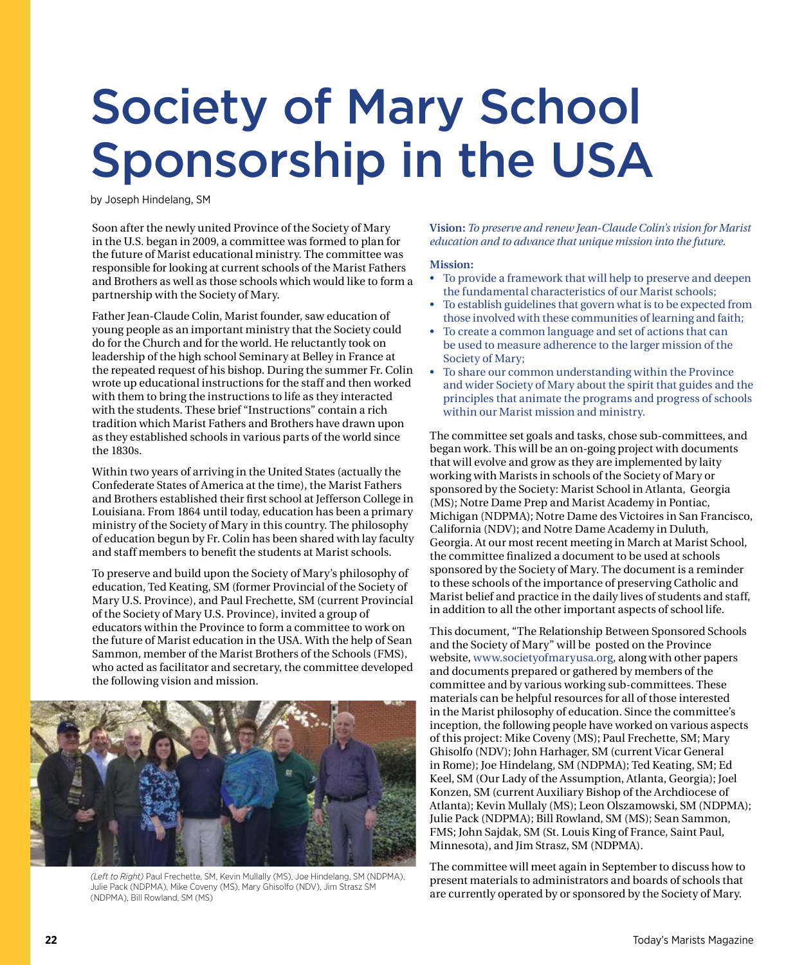# Society of Mary School Sponsorship in the USA

by Joseph Hindelang, SM

Soon after the newly united Province of the Society of Mary in the U.S. began in 2009, a committee was formed to plan for the future of Marist educational ministry. The committee was responsible for looking at current schools of the Marist Fathers and Brothers as well as those schools which would like to form a partnership with the Society of Mary.

Father Jean-Claude Colin, Marist founder, saw education of young people as an important ministry that the Society could do for the Church and for the world. He reluctantly took on leadership of the high school Seminary at Belley in France at the repeated request of his bishop. During the summer Fr. Colin wrote up educational instructions for the staff and then worked with them to bring the instructions to life as they interacted with the students. These brief "Instructions" contain a rich tradition which Marist Fathers and Brothers have drawn upon as they established schools in various parts of the world since the 1830s.

Within two years of arriving in the United States (actually the Confederate States of America at the time), the Marist Fathers and Brothers established their first school at Jefferson College in Louisiana. From 1864 until today, education has been a primary ministry of the Society of Mary in this country. The philosophy of education begun by Fr. Colin has been shared with lay faculty and staff members to benefit the students at Marist schools.

To preserve and build upon the Society of Mary's philosophy of education, Ted Keating, SM (former Provincial of the Society of Mary U.S. Province), and Paul Frechette, SM (current Provincial of the Society of Mary U.S. Province), invited a group of educators within the Province to form a committee to work on the future of Marist education in the USA. With the help of Sean Sammon, member of the Marist Brothers of the Schools (FMS), who acted as facilitator and secretary, the committee developed the following vision and mission.



*(Left to Right)* Paul Frechette, SM, Kevin Mullally (MS), Joe Hindelang, SM (NDPMA), Julie Pack (NDPMA), Mike Coveny (MS), Mary Ghisolfo (NDV), Jim Strasz SM (NDPMA), Bill Rowland, SM (MS)

**Vision:** *To preserve and renew Jean-Claude Colin's vision for Marist education and to advance that unique mission into the future.*

#### **Mission:**

- To provide a framework that will help to preserve and deepen the fundamental characteristics of our Marist schools;
- To establish guidelines that govern what is to be expected from those involved with these communities of learning and faith;
- To create a common language and set of actions that can be used to measure adherence to the larger mission of the Society of Mary;
- To share our common understanding within the Province and wider Society of Mary about the spirit that guides and the principles that animate the programs and progress of schools within our Marist mission and ministry.

The committee set goals and tasks, chose sub-committees, and began work. This will be an on-going project with documents that will evolve and grow as they are implemented by laity working with Marists in schools of the Society of Mary or sponsored by the Society: Marist School in Atlanta, Georgia (MS); Notre Dame Prep and Marist Academy in Pontiac, Michigan (NDPMA); Notre Dame des Victoires in San Francisco, California (NDV); and Notre Dame Academy in Duluth, Georgia. At our most recent meeting in March at Marist School, the committee finalized a document to be used at schools sponsored by the Society of Mary. The document is a reminder to these schools of the importance of preserving Catholic and Marist belief and practice in the daily lives of students and staff, in addition to all the other important aspects of school life.

This document, "The Relationship Between Sponsored Schools and the Society of Mary" will be posted on the Province website, [www.societyofmaryusa.org](http://www.societyofmaryusa.org), along with other papers and documents prepared or gathered by members of the committee and by various working sub-committees. These materials can be helpful resources for all of those interested in the Marist philosophy of education. Since the committee's inception, the following people have worked on various aspects of this project: Mike Coveny (MS); Paul Frechette, SM; Mary Ghisolfo (NDV); John Harhager, SM (current Vicar General in Rome); Joe Hindelang, SM (NDPMA); Ted Keating, SM; Ed Keel, SM (Our Lady of the Assumption, Atlanta, Georgia); Joel Konzen, SM (current Auxiliary Bishop of the Archdiocese of Atlanta); Kevin Mullaly (MS); Leon Olszamowski, SM (NDPMA); Julie Pack (NDPMA); Bill Rowland, SM (MS); Sean Sammon, FMS; John Sajdak, SM (St. Louis King of France, Saint Paul, Minnesota), and Jim Strasz, SM (NDPMA).

The committee will meet again in September to discuss how to present materials to administrators and boards of schools that are currently operated by or sponsored by the Society of Mary.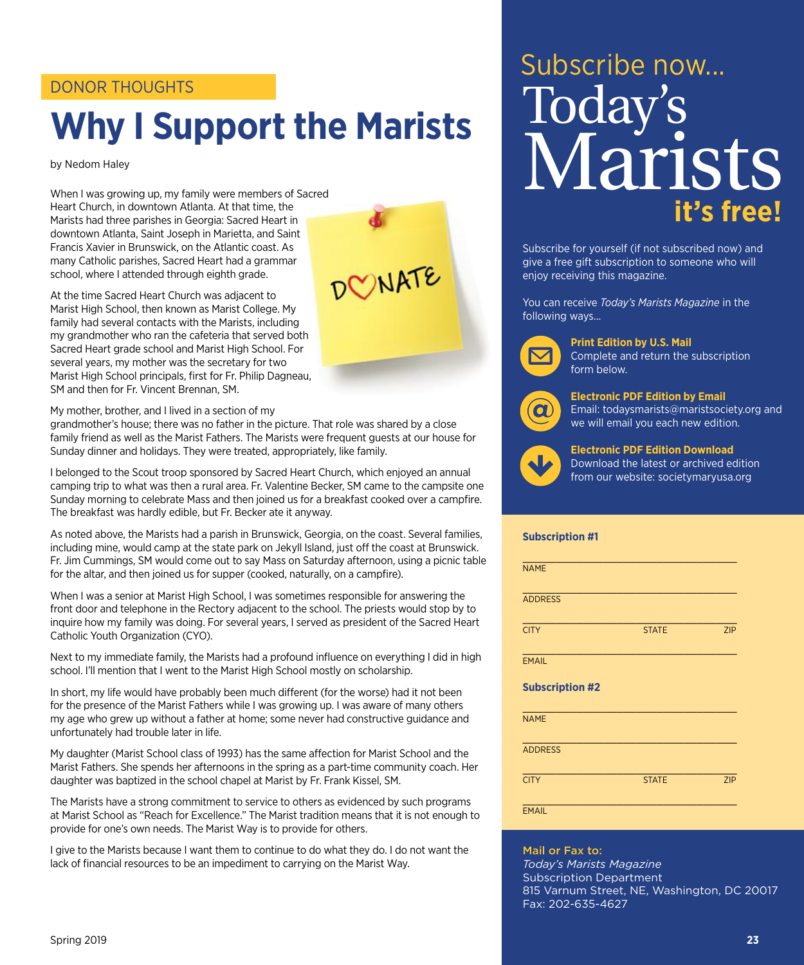### DONOR THOUGHTS

# **Why I Support the Marists**

by Nedom Haley

When I was growing up, my family were members of Sacred Heart Church, in downtown Atlanta. At that time, the Marists had three parishes in Georgia: Sacred Heart in downtown Atlanta, Saint Joseph in Marietta, and Saint Francis Xavier in Brunswick, on the Atlantic coast. As many Catholic parishes, Sacred Heart had a grammar school, where I attended through eighth grade.

At the time Sacred Heart Church was adjacent to Marist High School, then known as Marist College. My family had several contacts with the Marists, including my grandmother who ran the cafeteria that served both Sacred Heart grade school and Marist High School. For several years, my mother was the secretary for two Marist High School principals, first for Fr. Philip Dagneau, SM and then for Fr. Vincent Brennan, SM.

My mother, brother, and I lived in a section of my

grandmother's house; there was no father in the picture. That role was shared by a close family friend as well as the Marist Fathers. The Marists were frequent guests at our house for Sunday dinner and holidays. They were treated, appropriately, like family.

DONATE

I belonged to the Scout troop sponsored by Sacred Heart Church, which enjoyed an annual camping trip to what was then a rural area. Fr. Valentine Becker, SM came to the campsite one Sunday morning to celebrate Mass and then joined us for a breakfast cooked over a campfire. The breakfast was hardly edible, but Fr. Becker ate it anyway.

As noted above, the Marists had a parish in Brunswick, Georgia, on the coast. Several families, including mine, would camp at the state park on Jekyll Island, just off the coast at Brunswick. Fr. Jim Cummings, SM would come out to say Mass on Saturday afternoon, using a picnic table for the altar, and then joined us for supper (cooked, naturally, on a campfire).

When I was a senior at Marist High School, I was sometimes responsible for answering the front door and telephone in the Rectory adjacent to the school. The priests would stop by to inquire how my family was doing. For several years, I served as president of the Sacred Heart Catholic Youth Organization (CYO).

Next to my immediate family, the Marists had a profound influence on everything I did in high school. I'll mention that I went to the Marist High School mostly on scholarship.

In short, my life would have probably been much different (for the worse) had it not been for the presence of the Marist Fathers while I was growing up. I was aware of many others my age who grew up without a father at home; some never had constructive guidance and unfortunately had trouble later in life.

My daughter (Marist School class of 1993) has the same affection for Marist School and the Marist Fathers. She spends her afternoons in the spring as a part-time community coach. Her daughter was baptized in the school chapel at Marist by Fr. Frank Kissel, SM.

The Marists have a strong commitment to service to others as evidenced by such programs at Marist School as "Reach for Excellence." The Marist tradition means that it is not enough to provide for one's own needs. The Marist Way is to provide for others.

I give to the Marists because I want them to continue to do what they do. I do not want the lack of financial resources to be an impediment to carrying on the Marist Way.

# Subscribe now... **it's free!** Today's Marists

Subscribe for yourself (if not subscribed now) and give a free gift subscription to someone who will enjoy receiving this magazine.

You can receive *Today's Marists Magazine* in the following ways...



**Print Edition by U.S. Mail**

Complete and return the subscription form below.



**Electronic PDF Edition by Email**

Email: todaysmarists@maristsociety.org and we will email you each new edition.



**Electronic PDF Edition Download** Download the latest or archived edition from our website: societymaryusa.org

#### **Subscription #1**

| <b>NAME</b>            |              |            |
|------------------------|--------------|------------|
| <b>ADDRESS</b>         |              |            |
| <b>CITY</b>            | <b>STATE</b> | <b>ZIP</b> |
| <b>EMAIL</b>           |              |            |
| <b>Subscription #2</b> |              |            |
| <b>NAME</b>            |              |            |
| <b>ADDRESS</b>         |              |            |
| <b>CITY</b>            | <b>STATE</b> | <b>ZIP</b> |
| <b>EMAIL</b>           |              |            |

Mail or Fax to: *Today's Marists Magazine* Subscription Department 815 Varnum Street, NE, Washington, DC 20017 Fax: 202-635-4627